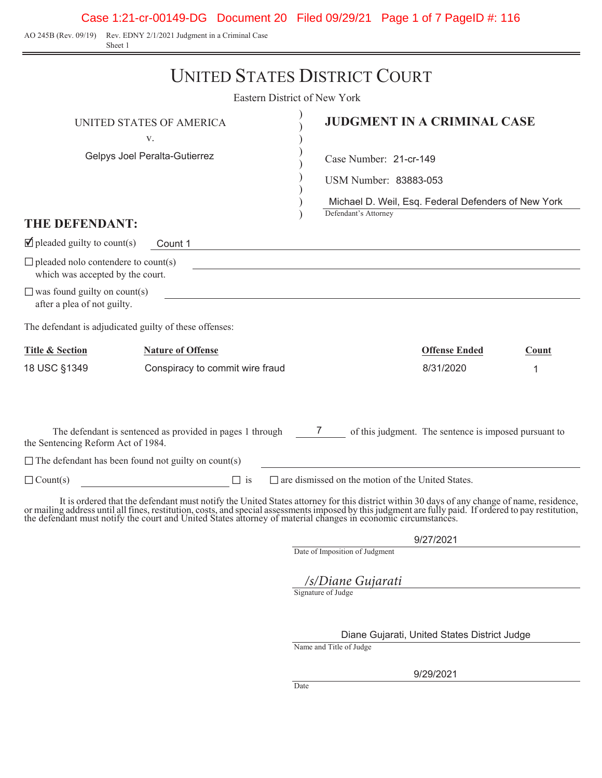Case 1:21-cr-00149-DG Document 20 Filed 09/29/21 Page 1 of 7 PageID #: 116

AO 245B (Rev. 09/19) Rev. EDNY 2/1/2021 Judgment in a Criminal Case Sheet 1

|                                                                                | <b>UNITED STATES DISTRICT COURT</b>                                                                                                                                             |                                                                                                                      |                      |       |  |
|--------------------------------------------------------------------------------|---------------------------------------------------------------------------------------------------------------------------------------------------------------------------------|----------------------------------------------------------------------------------------------------------------------|----------------------|-------|--|
|                                                                                | Eastern District of New York                                                                                                                                                    |                                                                                                                      |                      |       |  |
|                                                                                | UNITED STATES OF AMERICA<br>V.                                                                                                                                                  | <b>JUDGMENT IN A CRIMINAL CASE</b>                                                                                   |                      |       |  |
|                                                                                | Gelpys Joel Peralta-Gutierrez                                                                                                                                                   | Case Number: 21-cr-149                                                                                               |                      |       |  |
|                                                                                |                                                                                                                                                                                 | USM Number: 83883-053                                                                                                |                      |       |  |
| THE DEFENDANT:                                                                 |                                                                                                                                                                                 | Michael D. Weil, Esq. Federal Defenders of New York<br>Defendant's Attorney                                          |                      |       |  |
| $\blacksquare$ pleaded guilty to count(s)                                      | Count 1                                                                                                                                                                         | <u> 1980 - Johann Stoff, deutscher Stoff, der Stoff, deutscher Stoff, der Stoff, der Stoff, der Stoff, der Stoff</u> |                      |       |  |
| $\Box$ pleaded nolo contendere to count(s)<br>which was accepted by the court. |                                                                                                                                                                                 |                                                                                                                      |                      |       |  |
| $\Box$ was found guilty on count(s)<br>after a plea of not guilty.             |                                                                                                                                                                                 |                                                                                                                      |                      |       |  |
| The defendant is adjudicated guilty of these offenses:                         |                                                                                                                                                                                 |                                                                                                                      |                      |       |  |
| <b>Title &amp; Section</b>                                                     | <b>Nature of Offense</b>                                                                                                                                                        |                                                                                                                      | <b>Offense Ended</b> | Count |  |
| 18 USC §1349                                                                   | Conspiracy to commit wire fraud                                                                                                                                                 |                                                                                                                      | 8/31/2020            | 1     |  |
| the Sentencing Reform Act of 1984.                                             | The defendant is sentenced as provided in pages 1 through 7 of this judgment. The sentence is imposed pursuant to<br>$\Box$ The defendant has been found not guilty on count(s) |                                                                                                                      |                      |       |  |
| $\Box$ Count(s)                                                                | $\Box$ is                                                                                                                                                                       | $\Box$ are dismissed on the motion of the United States.                                                             |                      |       |  |
|                                                                                | It is ordered that the defendant must notify the United States attorney for this district within 30 days of any change of name, residence                                       |                                                                                                                      |                      |       |  |

It is ordered that the defendant must notify the United States attorney for this district within 30 days of any change of name, residence, or mailing address until all fines, restitution, costs, and special assessments imposed by this judgment are fully paid. If ordered to pay restitution,<br>the defendant must notify the court and United States attorney of mate

9/27/2021

Date of Imposition of Judgment

Signature of Judge */s/Diane Gujarati*

Diane Gujarati, United States District Judge

Name and Title of Judge

9/29/2021

Date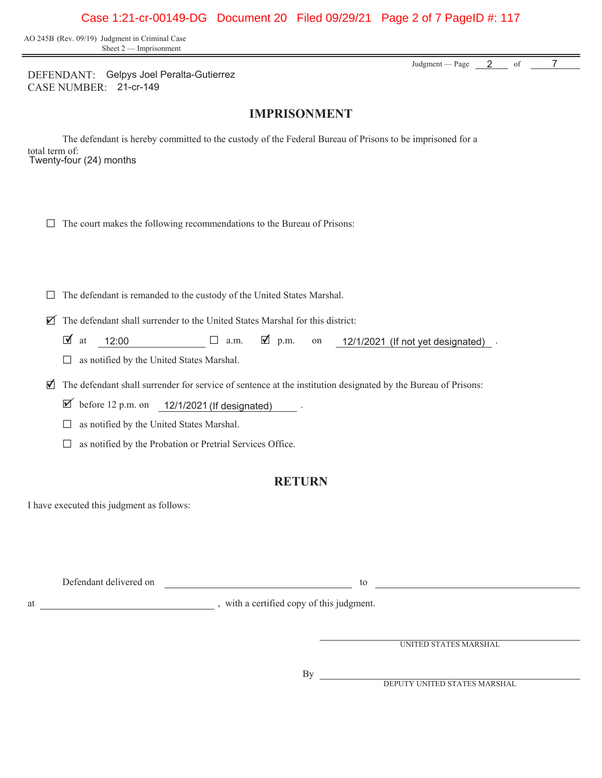### Case 1:21-cr-00149-DG Document 20 Filed 09/29/21 Page 2 of 7 PageID #: 117

AO 245B (Rev. 09/19) Judgment in Criminal Case Sheet 2 — Imprisonment

> Judgment — Page 7 2 of

DEFENDANT: Gelpys Joel Peralta-Gutierrez CASE NUMBER: 21-cr-149

### **IMPRISONMENT**

The defendant is hereby committed to the custody of the Federal Bureau of Prisons to be imprisoned for a total term of: Twenty-four (24) months

|  |  |  |  | $\Box$ The court makes the following recommendations to the Bureau of Prisons: |  |  |  |
|--|--|--|--|--------------------------------------------------------------------------------|--|--|--|
|--|--|--|--|--------------------------------------------------------------------------------|--|--|--|

 $\Box$  The defendant is remanded to the custody of the United States Marshal.

 $\triangledown$  The defendant shall surrender to the United States Marshal for this district:

- $\blacksquare$  at  $\blacksquare$  12:00  $\blacksquare$  a.m.  $\blacksquare$  p.m. on  $\blacksquare$  12/1/2021 (If not yet designated).  $12/1/2021$  (If not yet designated).
- $\Box$  as notified by the United States Marshal.

G The defendant shall surrender for service of sentence at the institution designated by the Bureau of Prisons: ✔

 $\triangledown$  before 12 p.m. on  $\frac{12}{1/2021}$  (If designated).

 $\Box$  as notified by the United States Marshal.

 $\Box$  as notified by the Probation or Pretrial Services Office.

### **RETURN**

I have executed this judgment as follows:

| Defendant delivered on |  |  |
|------------------------|--|--|
|                        |  |  |

at , with a certified copy of this judgment.

UNITED STATES MARSHAL

 $By_$ 

DEPUTY UNITED STATES MARSHAL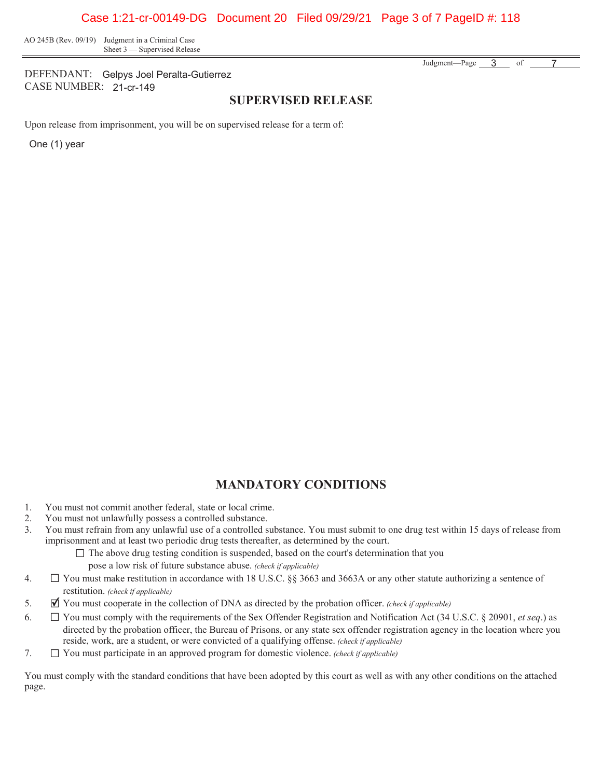AO 245B (Rev. 09/19) Judgment in a Criminal Case Sheet 3 — Supervised Release

DEFENDANT: Gelpys Joel Peralta-Gutierrez CASE NUMBER: 21-cr-149

#### **SUPERVISED RELEASE**

Upon release from imprisonment, you will be on supervised release for a term of:

One (1) year

## **MANDATORY CONDITIONS**

- 1. You must not commit another federal, state or local crime.
- 2. You must not unlawfully possess a controlled substance.
- 3. You must refrain from any unlawful use of a controlled substance. You must submit to one drug test within 15 days of release from imprisonment and at least two periodic drug tests thereafter, as determined by the court.
	- $\Box$  The above drug testing condition is suspended, based on the court's determination that you pose a low risk of future substance abuse. *(check if applicable)*
- 4. G You must make restitution in accordance with 18 U.S.C.  $\S$  3663 and 3663A or any other statute authorizing a sentence of restitution. *(check if applicable)*
- 5. G You must cooperate in the collection of DNA as directed by the probation officer. *(check if applicable)* ✔
- 6. G You must comply with the requirements of the Sex Offender Registration and Notification Act (34 U.S.C. § 20901, *et seq*.) as directed by the probation officer, the Bureau of Prisons, or any state sex offender registration agency in the location where you reside, work, are a student, or were convicted of a qualifying offense. *(check if applicable)*
- 7. G You must participate in an approved program for domestic violence. *(check if applicable)*

You must comply with the standard conditions that have been adopted by this court as well as with any other conditions on the attached page.

Judgment—Page 3 of 7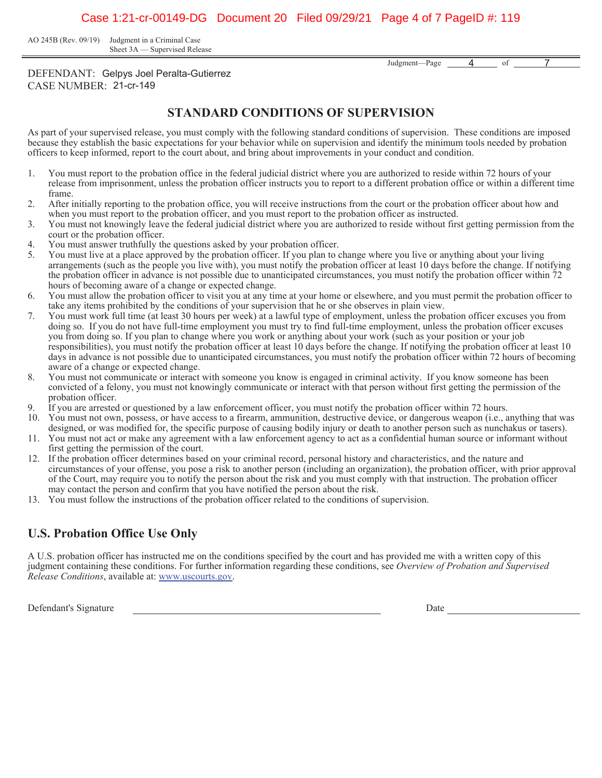AO 245B (Rev. 09/19) Judgment in a Criminal Case Sheet 3A — Supervised Release

> Judgment—Page <u>4</u> of 7

DEFENDANT: Gelpys Joel Peralta-Gutierrez CASE NUMBER: 21-cr-149

## **STANDARD CONDITIONS OF SUPERVISION**

As part of your supervised release, you must comply with the following standard conditions of supervision. These conditions are imposed because they establish the basic expectations for your behavior while on supervision and identify the minimum tools needed by probation officers to keep informed, report to the court about, and bring about improvements in your conduct and condition.

- You must report to the probation office in the federal judicial district where you are authorized to reside within 72 hours of your release from imprisonment, unless the probation officer instructs you to report to a different probation office or within a different time frame.
- After initially reporting to the probation office, you will receive instructions from the court or the probation officer about how and when you must report to the probation officer, and you must report to the probation officer as instructed.
- You must not knowingly leave the federal judicial district where you are authorized to reside without first getting permission from the court or the probation officer.
- You must answer truthfully the questions asked by your probation officer.
- You must live at a place approved by the probation officer. If you plan to change where you live or anything about your living arrangements (such as the people you live with), you must notify the probation officer at least 10 days before the change. If notifying the probation officer in advance is not possible due to unanticipated circumstances, you must notify the probation officer within 72 hours of becoming aware of a change or expected change.
- You must allow the probation officer to visit you at any time at your home or elsewhere, and you must permit the probation officer to take any items prohibited by the conditions of your supervision that he or she observes in plain view.
- You must work full time (at least 30 hours per week) at a lawful type of employment, unless the probation officer excuses you from doing so. If you do not have full-time employment you must try to find full-time employment, unless the probation officer excuses you from doing so. If you plan to change where you work or anything about your work (such as your position or your job responsibilities), you must notify the probation officer at least 10 days before the change. If notifying the probation officer at least 10 days in advance is not possible due to unanticipated circumstances, you must notify the probation officer within 72 hours of becoming aware of a change or expected change.
- You must not communicate or interact with someone you know is engaged in criminal activity. If you know someone has been convicted of a felony, you must not knowingly communicate or interact with that person without first getting the permission of the probation officer.
- If you are arrested or questioned by a law enforcement officer, you must notify the probation officer within 72 hours.
- You must not own, possess, or have access to a firearm, ammunition, destructive device, or dangerous weapon (i.e., anything that was designed, or was modified for, the specific purpose of causing bodily injury or death to another person such as nunchakus or tasers).
- You must not act or make any agreement with a law enforcement agency to act as a confidential human source or informant without first getting the permission of the court.
- 12. If the probation officer determines based on your criminal record, personal history and characteristics, and the nature and circumstances of your offense, you pose a risk to another person (including an organization), the probation officer, with prior approval of the Court, may require you to notify the person about the risk and you must comply with that instruction. The probation officer may contact the person and confirm that you have notified the person about the risk.
- You must follow the instructions of the probation officer related to the conditions of supervision.

# **U.S. Probation Office Use Only**

A U.S. probation officer has instructed me on the conditions specified by the court and has provided me with a written copy of this judgment containing these conditions. For further information regarding these conditions, see *Overview of Probation and Supervised Release Conditions*, available at: www.uscourts.gov.

Defendant's Signature Date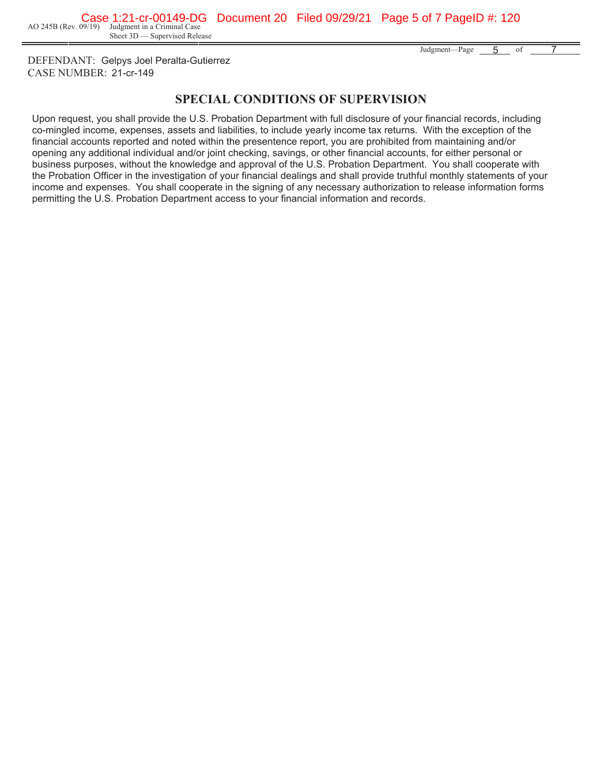Sheet 3D — Supervised Release

Judgment—Page 5 of 7 5

DEFENDANT: Gelpys Joel Peralta-Gutierrez CASE NUMBER: 21-cr-149

## **SPECIAL CONDITIONS OF SUPERVISION**

Upon request, you shall provide the U.S. Probation Department with full disclosure of your financial records, including co-mingled income, expenses, assets and liabilities, to include yearly income tax returns. With the exception of the financial accounts reported and noted within the presentence report, you are prohibited from maintaining and/or opening any additional individual and/or joint checking, savings, or other financial accounts, for either personal or business purposes, without the knowledge and approval of the U.S. Probation Department. You shall cooperate with the Probation Officer in the investigation of your financial dealings and shall provide truthful monthly statements of your income and expenses. You shall cooperate in the signing of any necessary authorization to release information forms permitting the U.S. Probation Department access to your financial information and records.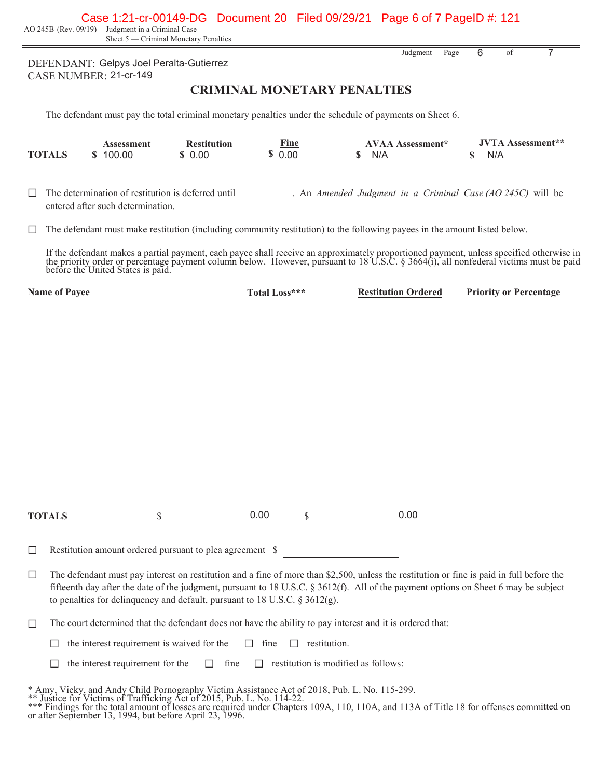Case 1:21-cr-00149-DG Document 20 Filed 09/29/21 Page 6 of 7 PageID #: 121

AO 245B (Rev. 09/19) Judgment in a Criminal Case

Sheet 5 — Criminal Monetary Penalties

DEFENDANT: Gelpys Joel Peralta-Gutierrez CASE NUMBER: 21-cr-149

#### **CRIMINAL MONETARY PENALTIES**

The defendant must pay the total criminal monetary penalties under the schedule of payments on Sheet 6.

|               | Assessment | Restitution | Fine | AVAA Assessment* | <b>JVTA Assessment**</b> |
|---------------|------------|-------------|------|------------------|--------------------------|
| <b>TOTALS</b> | 100.00     | 0.00        | 0.00 | N/A              | N/A                      |

G The determination of restitution is deferred until . An *Amended Judgment in a Criminal Case (AO 245C)* will be entered after such determination.

 $\Box$  The defendant must make restitution (including community restitution) to the following payees in the amount listed below.

If the defendant makes a partial payment, each payee shall receive an approximately proportioned payment, unless specified otherwise in the priority order or percentage payment column below. However, pursuant to 18 U.S.C. § 3664(i), all nonfederal victims must be paid<br>before the United States is paid.

**Name of Payee Total Loss\*\*\* Restitution Ordered Priority or Percentage** 

**TOTALS** \$ \$

0.00 \$ 0.00

 $\Box$  Restitution amount ordered pursuant to plea agreement  $\$$ 

 $\Box$  The defendant must pay interest on restitution and a fine of more than \$2,500, unless the restitution or fine is paid in full before the fifteenth day after the date of the judgment, pursuant to 18 U.S.C. § 3612(f). All of the payment options on Sheet 6 may be subject to penalties for delinquency and default, pursuant to 18 U.S.C. § 3612(g).

 $\Box$  The court determined that the defendant does not have the ability to pay interest and it is ordered that:

 $\Box$  the interest requirement is waived for the  $\Box$  fine  $\Box$  restitution.

 $\Box$  the interest requirement for the  $\Box$  fine  $\Box$  restitution is modified as follows:

\* Amy, Vicky, and Andy Child Pornography Victim Assistance Act of 2018, Pub. L. No. 115-299.

\*\* Justice for Victims of Trafficking Act of 2015, Pub. L. No. 114-22.

\*\*\* Findings for the total amount of losses are required under Chapters 109A, 110, 110A, and 113A of Title 18 for offenses committed on or after September 13, 1994, but before April 23, 1996.

Judgment — Page 6 of 7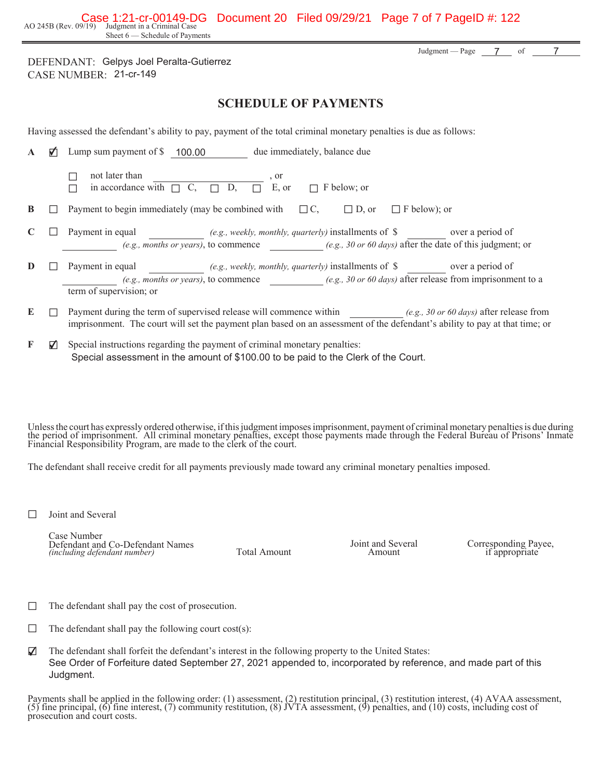AO 245B (Rev. 09/19) Judgment in a Criminal Case Sheet 6 — Schedule of Payments Case 1:21-cr-00149-DG Document 20 Filed 09/29/21 Page 7 of 7 PageID #: 122

DEFENDANT: Gelpys Joel Peralta-Gutierrez CASE NUMBER: 21-cr-149

### **SCHEDULE OF PAYMENTS**

Having assessed the defendant's ability to pay, payment of the total criminal monetary penalties is due as follows:

| A | Lump sum payment of \$100.00<br>due immediately, balance due                                                                                                                                                                               |
|---|--------------------------------------------------------------------------------------------------------------------------------------------------------------------------------------------------------------------------------------------|
|   | not later than<br>, or<br>D.<br>in accordance with $\Box$ C.<br>$\Box$ E, or<br>F below; or<br>$\Box$                                                                                                                                      |
| B | Payment to begin immediately (may be combined with<br>$\Box C$<br>$\Box$ F below); or<br>$ $ D, or                                                                                                                                         |
|   | Payment in equal<br>over a period of<br>(e.g., weekly, monthly, quarterly) installments of $\$<br>(e.g., months or years), to commence (e.g., 30 or 60 days) after the date of this judgment; or                                           |
| D | Payment in equal<br>(e.g., weekly, monthly, quarterly) installments of \$ over a period of<br>(e.g., months or years), to commence (e.g., 30 or 60 days) after release from imprisonment to a<br>term of supervision; or                   |
| E | Payment during the term of supervised release will commence within (e.g., 30 or 60 days) after release from<br>imprisonment. The court will set the payment plan based on an assessment of the defendant's ability to pay at that time; or |
| F | Special instructions regarding the payment of criminal monetary penalties:                                                                                                                                                                 |

Special assessment in the amount of \$100.00 to be paid to the Clerk of the Court.

Unless the court has expressly ordered otherwise, if this judgment imposes imprisonment, payment of criminal monetary penalties is due during<br>the period of imprisonment. All criminal monetary penalties, except those paymen Financial Responsibility Program, are made to the clerk of the court.

The defendant shall receive credit for all payments previously made toward any criminal monetary penalties imposed.

 $\Box$  Joint and Several

Case Number Defendant and Co-Defendant Names *(including defendant number)* Total Amount

Joint and Several<br>Amount

Corresponding Payee, if appropriate

Judgment — Page  $\overline{7}$  of

7

7

- $\Box$  The defendant shall pay the cost of prosecution.
- $\Box$  The defendant shall pay the following court cost(s):
- $\triangledown$ ✔ The defendant shall forfeit the defendant's interest in the following property to the United States: See Order of Forfeiture dated September 27, 2021 appended to, incorporated by reference, and made part of this Judgment.

Payments shall be applied in the following order: (1) assessment, (2) restitution principal, (3) restitution interest, (4) AVAA assessment, (5) fine principal, (6) fine interest, (7) community restitution, (8) JVTA assessment, (9) penalties, and (10) costs, including cost of prosecution and court costs.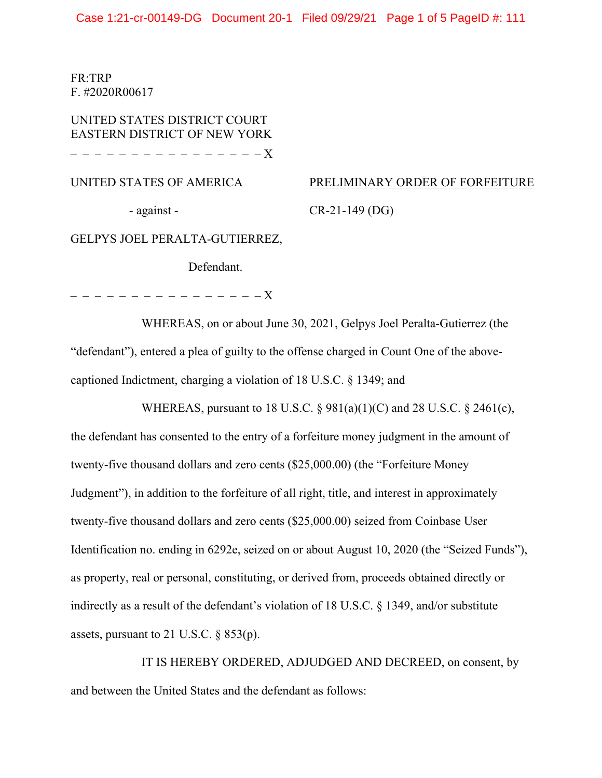Case 1:21-cr-00149-DG Document 20-1 Filed 09/29/21 Page 1 of 5 PageID #: 111

FR:TRP F. #2020R00617

UNITED STATES DISTRICT COURT EASTERN DISTRICT OF NEW YORK – – – – – – – – – – – – – – – – X

UNITED STATES OF AMERICA

PRELIMINARY ORDER OF FORFEITURE

- against -

CR-21-149 (DG)

GELPYS JOEL PERALTA-GUTIERREZ,

Defendant.

– – – – – – – – – – – – – – – – X

WHEREAS, on or about June 30, 2021, Gelpys Joel Peralta-Gutierrez (the "defendant"), entered a plea of guilty to the offense charged in Count One of the abovecaptioned Indictment, charging a violation of 18 U.S.C. § 1349; and

WHEREAS, pursuant to 18 U.S.C. § 981(a)(1)(C) and 28 U.S.C. § 2461(c), the defendant has consented to the entry of a forfeiture money judgment in the amount of twenty-five thousand dollars and zero cents (\$25,000.00) (the "Forfeiture Money Judgment"), in addition to the forfeiture of all right, title, and interest in approximately twenty-five thousand dollars and zero cents (\$25,000.00) seized from Coinbase User Identification no. ending in 6292e, seized on or about August 10, 2020 (the "Seized Funds"), as property, real or personal, constituting, or derived from, proceeds obtained directly or indirectly as a result of the defendant's violation of 18 U.S.C. § 1349, and/or substitute assets, pursuant to 21 U.S.C.  $\S 853(p)$ .

IT IS HEREBY ORDERED, ADJUDGED AND DECREED, on consent, by and between the United States and the defendant as follows: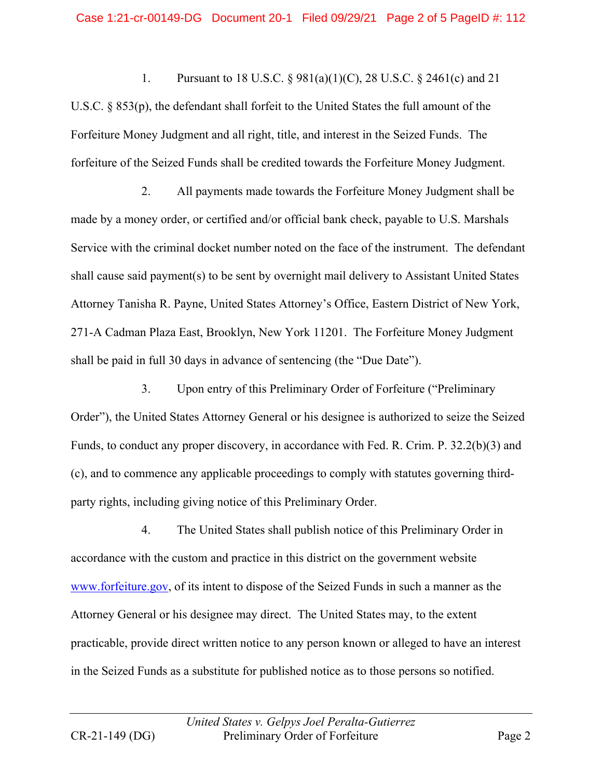1. Pursuant to 18 U.S.C. § 981(a)(1)(C), 28 U.S.C. § 2461(c) and 21 U.S.C. § 853(p), the defendant shall forfeit to the United States the full amount of the Forfeiture Money Judgment and all right, title, and interest in the Seized Funds. The forfeiture of the Seized Funds shall be credited towards the Forfeiture Money Judgment.

2. All payments made towards the Forfeiture Money Judgment shall be made by a money order, or certified and/or official bank check, payable to U.S. Marshals Service with the criminal docket number noted on the face of the instrument. The defendant shall cause said payment(s) to be sent by overnight mail delivery to Assistant United States Attorney Tanisha R. Payne, United States Attorney's Office, Eastern District of New York, 271-A Cadman Plaza East, Brooklyn, New York 11201. The Forfeiture Money Judgment shall be paid in full 30 days in advance of sentencing (the "Due Date").

3. Upon entry of this Preliminary Order of Forfeiture ("Preliminary Order"), the United States Attorney General or his designee is authorized to seize the Seized Funds, to conduct any proper discovery, in accordance with Fed. R. Crim. P. 32.2(b)(3) and (c), and to commence any applicable proceedings to comply with statutes governing thirdparty rights, including giving notice of this Preliminary Order.

4. The United States shall publish notice of this Preliminary Order in accordance with the custom and practice in this district on the government website www.forfeiture.gov, of its intent to dispose of the Seized Funds in such a manner as the Attorney General or his designee may direct. The United States may, to the extent practicable, provide direct written notice to any person known or alleged to have an interest in the Seized Funds as a substitute for published notice as to those persons so notified.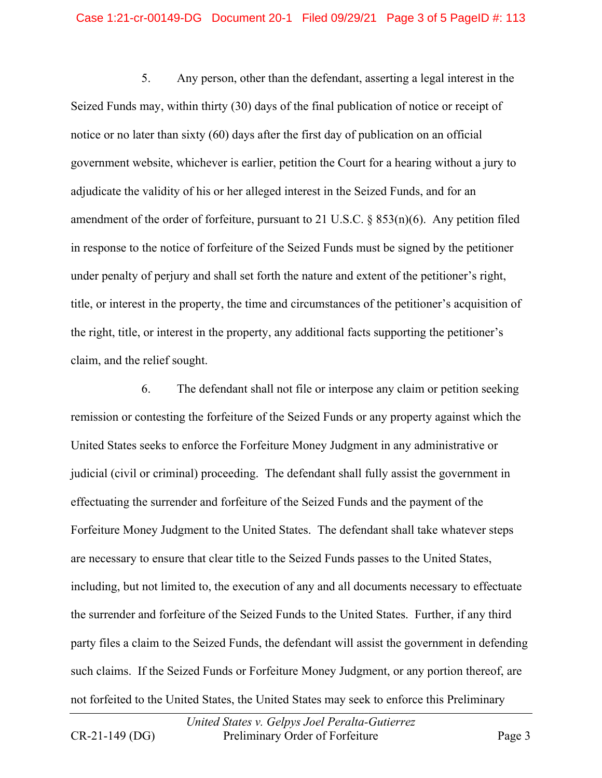5. Any person, other than the defendant, asserting a legal interest in the Seized Funds may, within thirty (30) days of the final publication of notice or receipt of notice or no later than sixty (60) days after the first day of publication on an official government website, whichever is earlier, petition the Court for a hearing without a jury to adjudicate the validity of his or her alleged interest in the Seized Funds, and for an amendment of the order of forfeiture, pursuant to 21 U.S.C. § 853(n)(6). Any petition filed in response to the notice of forfeiture of the Seized Funds must be signed by the petitioner under penalty of perjury and shall set forth the nature and extent of the petitioner's right, title, or interest in the property, the time and circumstances of the petitioner's acquisition of the right, title, or interest in the property, any additional facts supporting the petitioner's claim, and the relief sought.

6. The defendant shall not file or interpose any claim or petition seeking remission or contesting the forfeiture of the Seized Funds or any property against which the United States seeks to enforce the Forfeiture Money Judgment in any administrative or judicial (civil or criminal) proceeding. The defendant shall fully assist the government in effectuating the surrender and forfeiture of the Seized Funds and the payment of the Forfeiture Money Judgment to the United States. The defendant shall take whatever steps are necessary to ensure that clear title to the Seized Funds passes to the United States, including, but not limited to, the execution of any and all documents necessary to effectuate the surrender and forfeiture of the Seized Funds to the United States. Further, if any third party files a claim to the Seized Funds, the defendant will assist the government in defending such claims. If the Seized Funds or Forfeiture Money Judgment, or any portion thereof, are not forfeited to the United States, the United States may seek to enforce this Preliminary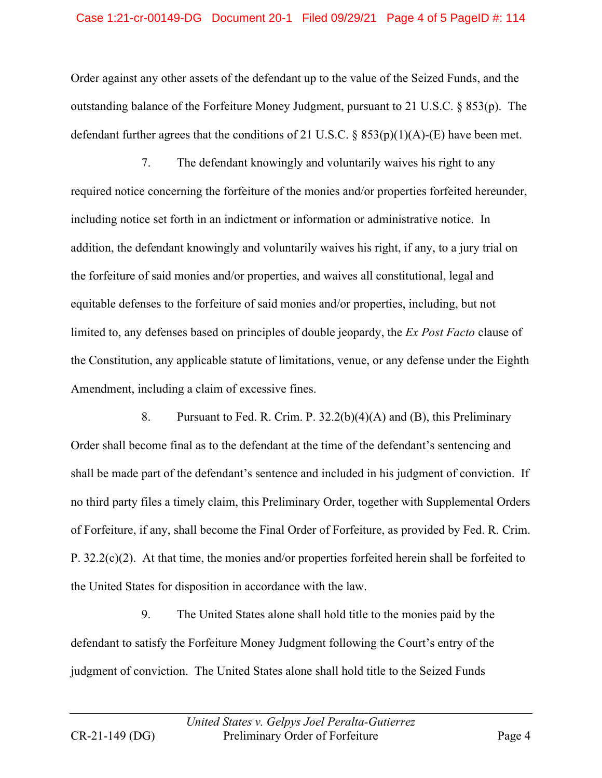Order against any other assets of the defendant up to the value of the Seized Funds, and the outstanding balance of the Forfeiture Money Judgment, pursuant to 21 U.S.C. § 853(p). The defendant further agrees that the conditions of 21 U.S.C.  $\S$  853(p)(1)(A)-(E) have been met.

7. The defendant knowingly and voluntarily waives his right to any required notice concerning the forfeiture of the monies and/or properties forfeited hereunder, including notice set forth in an indictment or information or administrative notice. In addition, the defendant knowingly and voluntarily waives his right, if any, to a jury trial on the forfeiture of said monies and/or properties, and waives all constitutional, legal and equitable defenses to the forfeiture of said monies and/or properties, including, but not limited to, any defenses based on principles of double jeopardy, the *Ex Post Facto* clause of the Constitution, any applicable statute of limitations, venue, or any defense under the Eighth Amendment, including a claim of excessive fines.

8. Pursuant to Fed. R. Crim. P. 32.2(b)(4)(A) and (B), this Preliminary Order shall become final as to the defendant at the time of the defendant's sentencing and shall be made part of the defendant's sentence and included in his judgment of conviction. If no third party files a timely claim, this Preliminary Order, together with Supplemental Orders of Forfeiture, if any, shall become the Final Order of Forfeiture, as provided by Fed. R. Crim. P. 32.2(c)(2). At that time, the monies and/or properties forfeited herein shall be forfeited to the United States for disposition in accordance with the law.

9. The United States alone shall hold title to the monies paid by the defendant to satisfy the Forfeiture Money Judgment following the Court's entry of the judgment of conviction. The United States alone shall hold title to the Seized Funds